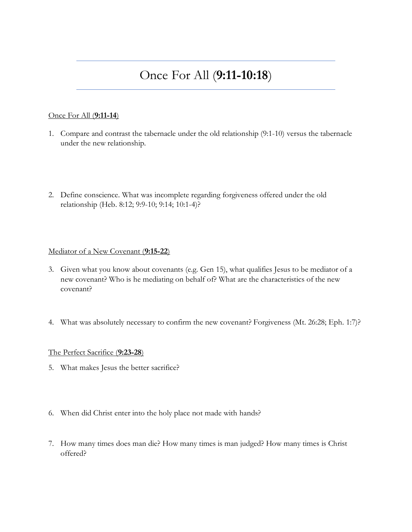# Once For All (**9:11-10:18**)

### Once For All (**9:11-14**)

- 1. Compare and contrast the tabernacle under the old relationship (9:1-10) versus the tabernacle under the new relationship.
- 2. Define conscience. What was incomplete regarding forgiveness offered under the old relationship (Heb. 8:12; 9:9-10; 9:14; 10:1-4)?

### Mediator of a New Covenant (**9:15-22**)

- 3. Given what you know about covenants (e.g. Gen 15), what qualifies Jesus to be mediator of a new covenant? Who is he mediating on behalf of? What are the characteristics of the new covenant?
- 4. What was absolutely necessary to confirm the new covenant? Forgiveness (Mt. 26:28; Eph. 1:7)?

### The Perfect Sacrifice (**9:23-28**)

- 5. What makes Jesus the better sacrifice?
- 6. When did Christ enter into the holy place not made with hands?
- 7. How many times does man die? How many times is man judged? How many times is Christ offered?